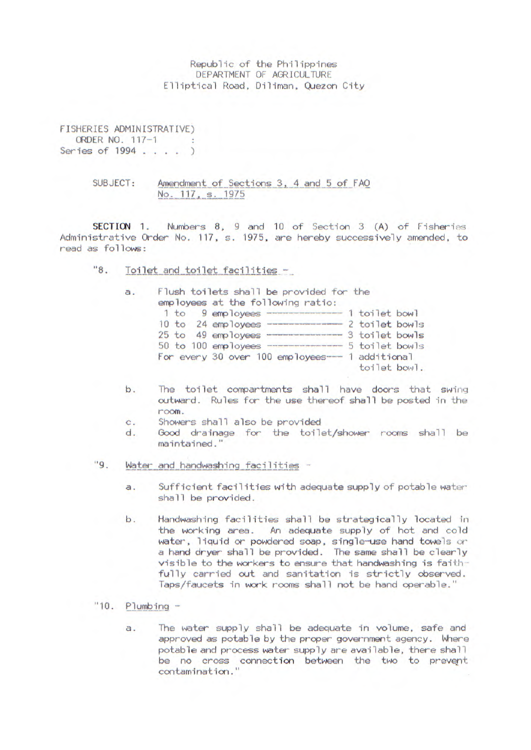Republic of the Philippines DEPARTMENT OF AGRICULTURE Elliptical Road, Diliman, Quezon City

FISHERIES ADMINISTRATIVE) ORDER NO. 117-1 Series of 1994 . . . . )

SUBJECT: Amendment of Sections 3, 4 and 5 of FAO<br>No. 117, s. 1975

SECTION 1. Numbers 8, 9 and 10 of Section 3 (A) of Fisheries Administrative Order No. 117, s. 1975, are hereby successively amended, to read as follows:

 $"8.$ Toilet and toilet facilities -

| a. | Flush toilets shall be provided for the<br>employees at the following ratio: |
|----|------------------------------------------------------------------------------|
|    | 1 toilet bowl<br>1 to 9 employees                                            |
|    | 10 to 24 employees<br>2 toilet bowls                                         |
|    | 3 toilet bowls<br>25 to 49 employees                                         |
|    | 5 toilet bowls<br>50 to 100 employees                                        |
|    | For every 30 over 100 employees-<br>1 additional<br>toilet bowl.             |

- b. The toilet compartments shall have doors that swing outward. Rules for the use thereof shall be posted in the room.
- C. Showers shall also be provided
- d. Good drainage for the toilet/shower rooms shall be maintained."
- $"9.$ Water and handwashing facilities
	- a. Sufficient facilities with adequate supply of potable water shall be provided.
	- b. Handwashing facilities shall be strategically located in the working area. An adequate supply of hot and cold water, liquid or powdered soap, single-use hand towels or a hand dryer shall be provided. The same shall be clearly visible to the workers to ensure that handwashing is faithfully carried out and sanitation is strictly observed. Taps/faucets in work rooms shall not be hand operable."
- $"10.$  Plumbing  $$ 
	- a. The water supply shall be adequate in volume, safe and approved as potable by the proper government agency. Where potable and process water supply are available, there shall be no cross connection between the two to prevent contamination.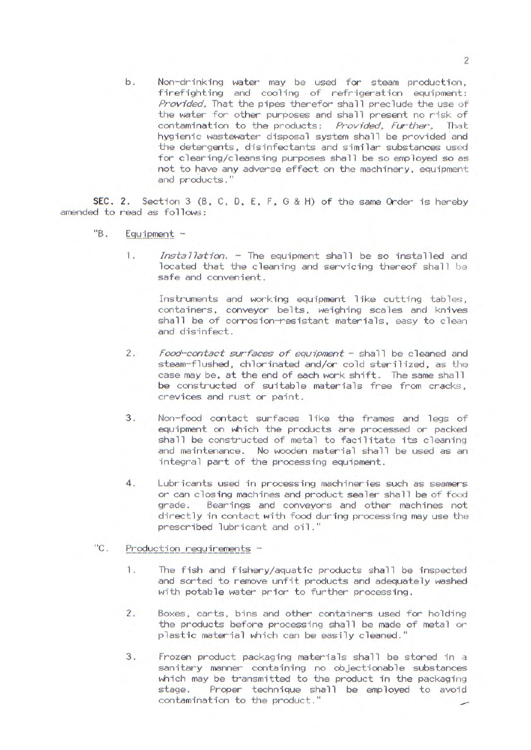b. Non-drinking water may be used for steam production, firefighting and cooling of refrigeration equipment: Provided. That the pipes therefor shall preclude the use of the water for other purposes and shall present no risk of contamination to the products: Provided, Further, That hygienic wastewater disposal system shall be provided and the detergents, disinfectants and similar substances used for clearing/cleansing purposes shall be so employed so as not to have any adverse effect on the machinery, equipment and products."

SEC. 2. Section 3 (B, C, D, E, F, G & H) of the same Order is hereby amended to read as follows:

- "B. Equipment
	- $1.$ *Installatioci.* - The equipment shall be so installed and located that the cleaning and servicing thereof shall be safe and convenient.

Instruments and working equipment like cutting tables, containers, conveyor belts, weighing scales and knives shall be of corrosion-resistant materials, easy to clean and disinfect.

- 2. *food-contact surfaces of equipment shall be cleaned and* steam-flushed, chlorinated and/or cold sterilized, as the case may be, at the end of each work shift. The same shall be constructed of suitable materials free from cracks, crevices and rust or paint.
- 3. Non-food contact surfaces like the frames and legs of equipment on which the products are processed or packed shall be constructed of metal to facilitate its cleaning and maintenance. No wooden material shall be used as an integral part of the processing equipment.
- 4. Lubricants used in processing machineries such as seamers or can closing machines and product sealer shall be of food grade. Bearings and conveyors and other machines not directly in contact with food during processing may use the prescribed lubricant and oil."
- "C. Production requirements -
	- 1. The fish and fishery/aquatic products shall be inspectcd and sorted to remove unfit products and adequately washed with potable water prior to further processing.
	- 2. Boxes, carts, bins and other containers used for holding the products before processing shall be made of metal or plastic material which can be easily cleaned."
	- 3. Frozen product packaging materials shall be stored in a sanitary manner containing no objectionable substances which may be transmitted to the product in the packaging stage. Proper technique shall be employed to avoid contamination to the product."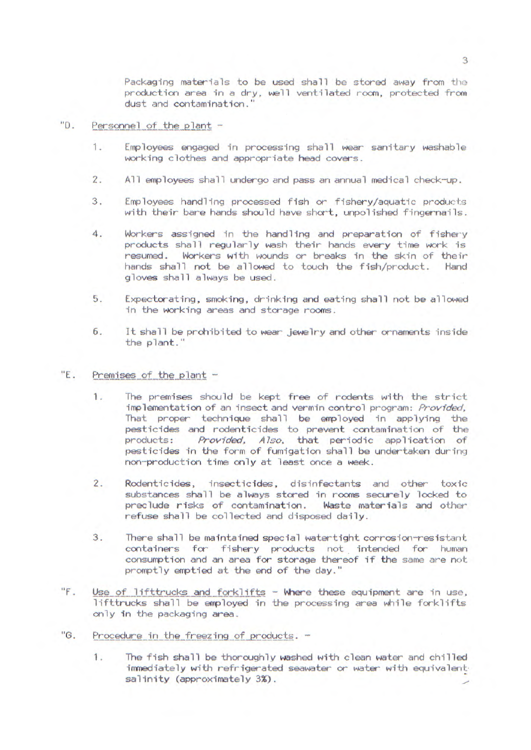Packaging materials to be used shall be stored away from the production area in a dry, well ventilated room, protected from dust and contamination."

## "D. Personnel of the plant -

- 1. Employees engaged In processing shall wear sanitary washable working clothes and appropriate head covers.
- 2. All employees shall undergo and pass an annual medical check-up.
- 3. Employees handling processed fish or fishery/aquatic products with their bare hands should have short, unpolished fingernails.
- 4. Workers assigned in the handling and preparation of fishery products shall regularly wash their hands every time work is resumed. Workers with wounds or breaks in the skin of their hands shall not be allowed to touch the fish/product. Hand gloves shall always be used.
- 5. Expectorating, smoking, drinking and eating shall not be allowed in the working areas and storage rooms.
- 6. It shall be prohibited to wear jewelry and other ornaments inside the plant."

## "E. Premises of the plant  $-$

- 1. The premises should be kept free of rodents with the strict implementation of an insect and vermin control program: Provided, That proper technique shall be employed in applying the pesticides and rodenticides to prevent contamination of the products: Provided, Also, that periodic application of pesticides in the form of fumigation shall be undertaken during non-production time only at least once a week.
- 2. Rodenticides, insecticides, disinfectants and other toxic substances shall be always stored in rooms securely locked to<br>preclude risks of contamination. Waste materials and other preclude risks of contamination. refuse shall be collected and disposed daily.
- 3. There shall be maintained special watertight corrosion-resistant containers for fishery products not intended for human consumption and an area for storage thereof if the same are not promptly emptied at the end of the day.
- "F. Use of lifttrucks and forklifts Where these equipment are in use, lifttrucks shall be employed in the processing area while forklifts only in the packaging area.
- "G. Procedure in the freezing of products. -
	- 1. The fish shall be thoroughly washed with clean water and chilled immediately with refrigerated seawater or water with equivalent salinity (approximately 3%).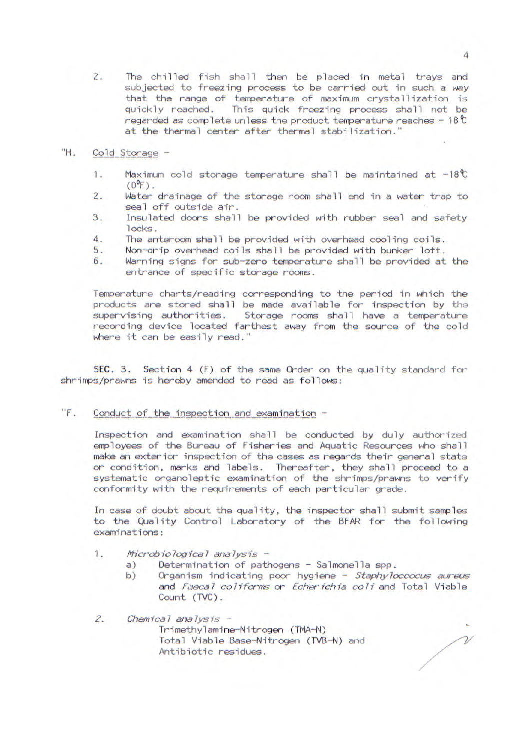2. The chilled fish shall then be placed in metal trays and subjected to freezing process to be carried out in such a way that the range of temperature of maximum crystallization is quickly reached. This quick freezing process shall not be regarded as complete unless the product temperature reaches -  $18\text{°C}$ at the thermal center after thermal stabilization.

## "H. Cold Storage -

- 1. Maximum cold storage temperature shall be maintained at  $-18^{\circ}$  $(0^{\circ}F)$ .
- 2. Water drainage of the storage room shall end in a water trap to seal off outside air.
- 3. Insulated doors shall be provided with rubber seal and safety locks.
- 4. The anteroom shall be provided with overhead cooling coils.<br>5. Non-drip overhead coils shall be provided with bunker loft.
- Non-drip overhead coils shall be provided with bunker loft.
- 6. Warning signs for sub-zero temperature shall be provided at the entrance of specific storage rooms.

Temperature charts/reading corresponding to the period In which the products are stored shall be made available for inspection by the supervising authorities. Storage rooms shall have a temperature recording device located farthest away from the source of the cold where it can be easily read."

SEC. 3. Section 4 (F) of the same Order on the quality standard for shrimps/prawns is hereby amended to read as follows:

 $"F.$  Conduct of the inspection and examination -

Inspection and examination shall be conducted by duly authorizod employees of the Bureau of Fisheries and Aquatic Resources who shall make an exterior inspection of the cases as regards their general state or condition, marks and labels. Thereafter, they shall proceed to a systematic organoleptic examination of the shrimps/prawns to verify conformity with the requirements of each particular grade.

In case of doubt about the quality, the inspector shall submit samples to the Quality Control Laboratory of the BFAR for the following examinations:

- 1. Microbio logical analysis
	- a) Determination of pathogens Salmonella spp.<br>b) Organism indicating poor hygiene *Staphylo*
	- Organism indicating poor hygiene Staphyloccocus aureus and Faecal coliforms or Echerichia coli and Total Viable Count (TVC).

/

2. Chemical analysis -Trimethylamine-Nitrogen (TMA-N) Total Viable Base-Nitrogen (TVB-N) and *A*ntibiotic residues.

4